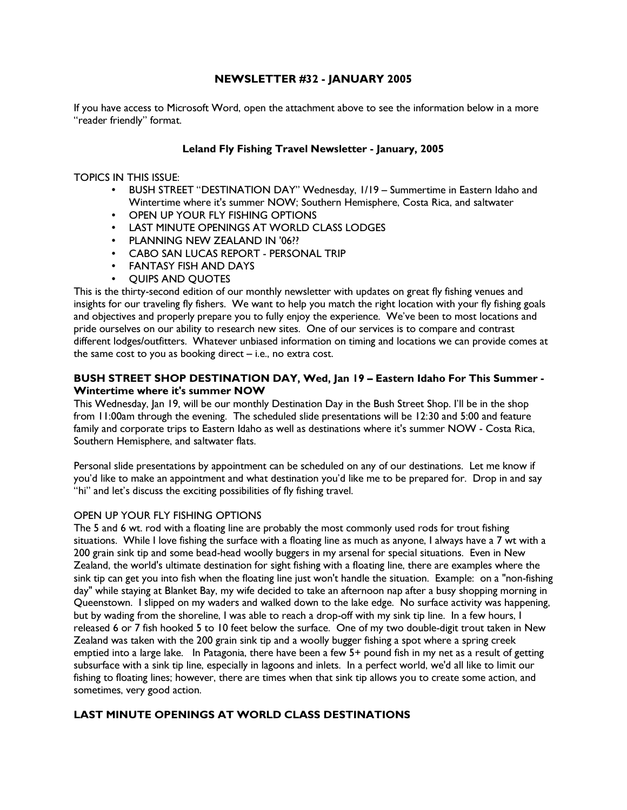## NEWSLETTER #32 - JANUARY 2005

If you have access to Microsoft Word, open the attachment above to see the information below in a more "reader friendly" format.

### Leland Fly Fishing Travel Newsletter - January, 2005

TOPICS IN THIS ISSUE:

- BUSH STREET "DESTINATION DAY" Wednesday, 1/19 Summertime in Eastern Idaho and Wintertime where it's summer NOW; Southern Hemisphere, Costa Rica, and saltwater
- OPEN UP YOUR FLY FISHING OPTIONS
- LAST MINUTE OPENINGS AT WORLD CLASS LODGES
- PLANNING NEW ZEALAND IN '06??
- CABO SAN LUCAS REPORT PERSONAL TRIP
- FANTASY FISH AND DAYS
- QUIPS AND QUOTES

This is the thirty-second edition of our monthly newsletter with updates on great fly fishing venues and insights for our traveling fly fishers. We want to help you match the right location with your fly fishing goals and objectives and properly prepare you to fully enjoy the experience. We've been to most locations and pride ourselves on our ability to research new sites. One of our services is to compare and contrast different lodges/outfitters. Whatever unbiased information on timing and locations we can provide comes at the same cost to you as booking direct – i.e., no extra cost.

### BUSH STREET SHOP DESTINATION DAY, Wed, Jan 19 – Eastern Idaho For This Summer - Wintertime where it's summer NOW

This Wednesday, Jan 19, will be our monthly Destination Day in the Bush Street Shop. I'll be in the shop from 11:00am through the evening. The scheduled slide presentations will be 12:30 and 5:00 and feature family and corporate trips to Eastern Idaho as well as destinations where it's summer NOW - Costa Rica, Southern Hemisphere, and saltwater flats.

Personal slide presentations by appointment can be scheduled on any of our destinations. Let me know if you'd like to make an appointment and what destination you'd like me to be prepared for. Drop in and say "hi" and let's discuss the exciting possibilities of fly fishing travel.

#### OPEN UP YOUR FLY FISHING OPTIONS

The 5 and 6 wt. rod with a floating line are probably the most commonly used rods for trout fishing situations. While I love fishing the surface with a floating line as much as anyone, I always have a 7 wt with a 200 grain sink tip and some bead-head woolly buggers in my arsenal for special situations. Even in New Zealand, the world's ultimate destination for sight fishing with a floating line, there are examples where the sink tip can get you into fish when the floating line just won't handle the situation. Example: on a "non-fishing day" while staying at Blanket Bay, my wife decided to take an afternoon nap after a busy shopping morning in Queenstown. I slipped on my waders and walked down to the lake edge. No surface activity was happening, but by wading from the shoreline, I was able to reach a drop-off with my sink tip line. In a few hours, I released 6 or 7 fish hooked 5 to 10 feet below the surface. One of my two double-digit trout taken in New Zealand was taken with the 200 grain sink tip and a woolly bugger fishing a spot where a spring creek emptied into a large lake. In Patagonia, there have been a few 5+ pound fish in my net as a result of getting subsurface with a sink tip line, especially in lagoons and inlets. In a perfect world, we'd all like to limit our fishing to floating lines; however, there are times when that sink tip allows you to create some action, and sometimes, very good action.

# LAST MINUTE OPENINGS AT WORLD CLASS DESTINATIONS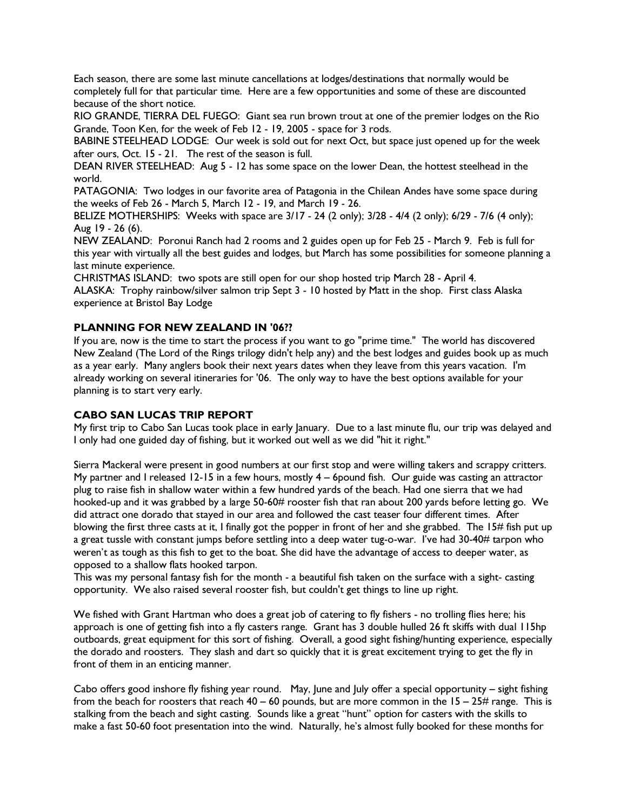Each season, there are some last minute cancellations at lodges/destinations that normally would be completely full for that particular time. Here are a few opportunities and some of these are discounted because of the short notice.

RIO GRANDE, TIERRA DEL FUEGO: Giant sea run brown trout at one of the premier lodges on the Rio Grande, Toon Ken, for the week of Feb 12 - 19, 2005 - space for 3 rods.

BABINE STEELHEAD LODGE: Our week is sold out for next Oct, but space just opened up for the week after ours, Oct. 15 - 21. The rest of the season is full.

DEAN RIVER STEELHEAD: Aug 5 - 12 has some space on the lower Dean, the hottest steelhead in the world.

PATAGONIA: Two lodges in our favorite area of Patagonia in the Chilean Andes have some space during the weeks of Feb 26 - March 5, March 12 - 19, and March 19 - 26.

BELIZE MOTHERSHIPS: Weeks with space are 3/17 - 24 (2 only); 3/28 - 4/4 (2 only); 6/29 - 7/6 (4 only); Aug 19 - 26 (6).

NEW ZEALAND: Poronui Ranch had 2 rooms and 2 guides open up for Feb 25 - March 9. Feb is full for this year with virtually all the best guides and lodges, but March has some possibilities for someone planning a last minute experience.

CHRISTMAS ISLAND: two spots are still open for our shop hosted trip March 28 - April 4.

ALASKA: Trophy rainbow/silver salmon trip Sept 3 - 10 hosted by Matt in the shop. First class Alaska experience at Bristol Bay Lodge

#### PLANNING FOR NEW ZEALAND IN '06??

If you are, now is the time to start the process if you want to go "prime time." The world has discovered New Zealand (The Lord of the Rings trilogy didn't help any) and the best lodges and guides book up as much as a year early. Many anglers book their next years dates when they leave from this years vacation. I'm already working on several itineraries for '06. The only way to have the best options available for your planning is to start very early.

### CABO SAN LUCAS TRIP REPORT

My first trip to Cabo San Lucas took place in early January. Due to a last minute flu, our trip was delayed and I only had one guided day of fishing, but it worked out well as we did "hit it right."

Sierra Mackeral were present in good numbers at our first stop and were willing takers and scrappy critters. My partner and I released 12-15 in a few hours, mostly  $4 - 6$  pound fish. Our guide was casting an attractor plug to raise fish in shallow water within a few hundred yards of the beach. Had one sierra that we had hooked-up and it was grabbed by a large 50-60# rooster fish that ran about 200 yards before letting go. We did attract one dorado that stayed in our area and followed the cast teaser four different times. After blowing the first three casts at it, I finally got the popper in front of her and she grabbed. The 15# fish put up a great tussle with constant jumps before settling into a deep water tug-o-war. I've had 30-40# tarpon who weren't as tough as this fish to get to the boat. She did have the advantage of access to deeper water, as opposed to a shallow flats hooked tarpon.

This was my personal fantasy fish for the month - a beautiful fish taken on the surface with a sight- casting opportunity. We also raised several rooster fish, but couldn't get things to line up right.

We fished with Grant Hartman who does a great job of catering to fly fishers - no trolling flies here; his approach is one of getting fish into a fly casters range. Grant has 3 double hulled 26 ft skiffs with dual 115hp outboards, great equipment for this sort of fishing. Overall, a good sight fishing/hunting experience, especially the dorado and roosters. They slash and dart so quickly that it is great excitement trying to get the fly in front of them in an enticing manner.

Cabo offers good inshore fly fishing year round. May, June and July offer a special opportunity – sight fishing from the beach for roosters that reach  $40 - 60$  pounds, but are more common in the  $15 - 25$ # range. This is stalking from the beach and sight casting. Sounds like a great "hunt" option for casters with the skills to make a fast 50-60 foot presentation into the wind. Naturally, he's almost fully booked for these months for